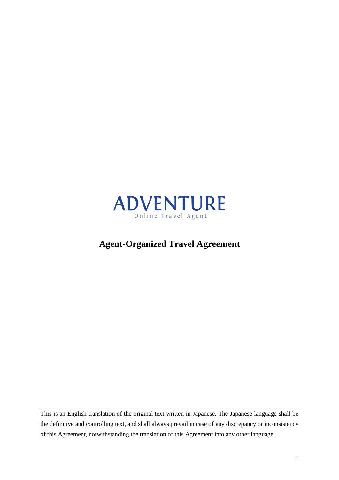

# **Agent-Organized Travel Agreement**

This is an English translation of the original text written in Japanese. The Japanese language shall be the definitive and controlling text, and shall always prevail in case of any discrepancy or inconsistency of this Agreement, notwithstanding the translation of this Agreement into any other language.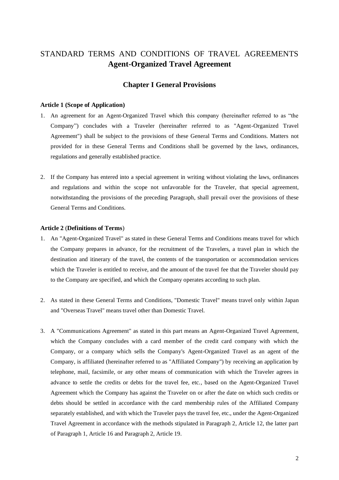## STANDARD TERMS AND CONDITIONS OF TRAVEL AGREEMENTS **Agent-Organized Travel Agreement**

## **Chapter I General Provisions**

#### **Article 1 (Scope of Application)**

- 1. An agreement for an Agent-Organized Travel which this company (hereinafter referred to as "the Company") concludes with a Traveler (hereinafter referred to as "Agent-Organized Travel Agreement") shall be subject to the provisions of these General Terms and Conditions. Matters not provided for in these General Terms and Conditions shall be governed by the laws, ordinances, regulations and generally established practice.
- 2. If the Company has entered into a special agreement in writing without violating the laws, ordinances and regulations and within the scope not unfavorable for the Traveler, that special agreement, notwithstanding the provisions of the preceding Paragraph, shall prevail over the provisions of these General Terms and Conditions.

#### **Article 2** (**Definitions of Terms**)

- 1. An "Agent-Organized Travel" as stated in these General Terms and Conditions means travel for which the Company prepares in advance, for the recruitment of the Travelers, a travel plan in which the destination and itinerary of the travel, the contents of the transportation or accommodation services which the Traveler is entitled to receive, and the amount of the travel fee that the Traveler should pay to the Company are specified, and which the Company operates according to such plan.
- 2. As stated in these General Terms and Conditions, "Domestic Travel" means travel only within Japan and "Overseas Travel" means travel other than Domestic Travel.
- 3. A "Communications Agreement" as stated in this part means an Agent-Organized Travel Agreement, which the Company concludes with a card member of the credit card company with which the Company, or a company which sells the Company's Agent-Organized Travel as an agent of the Company, is affiliated (hereinafter referred to as "Affiliated Company") by receiving an application by telephone, mail, facsimile, or any other means of communication with which the Traveler agrees in advance to settle the credits or debts for the travel fee, etc., based on the Agent-Organized Travel Agreement which the Company has against the Traveler on or after the date on which such credits or debts should be settled in accordance with the card membership rules of the Affiliated Company separately established, and with which the Traveler pays the travel fee, etc., under the Agent-Organized Travel Agreement in accordance with the methods stipulated in Paragraph 2, Article 12, the latter part of Paragraph 1, Article 16 and Paragraph 2, Article 19.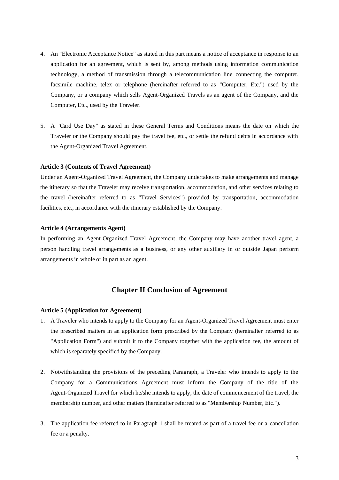- 4. An "Electronic Acceptance Notice" as stated in this part means a notice of acceptance in response to an application for an agreement, which is sent by, among methods using information communication technology, a method of transmission through a telecommunication line connecting the computer, facsimile machine, telex or telephone (hereinafter referred to as "Computer, Etc.") used by the Company, or a company which sells Agent-Organized Travels as an agent of the Company, and the Computer, Etc., used by the Traveler.
- 5. A "Card Use Day" as stated in these General Terms and Conditions means the date on which the Traveler or the Company should pay the travel fee, etc., or settle the refund debts in accordance with the Agent-Organized Travel Agreement.

#### **Article 3 (Contents of Travel Agreement)**

Under an Agent-Organized Travel Agreement, the Company undertakes to make arrangements and manage the itinerary so that the Traveler may receive transportation, accommodation, and other services relating to the travel (hereinafter referred to as "Travel Services") provided by transportation, accommodation facilities, etc., in accordance with the itinerary established by the Company.

#### **Article 4 (Arrangements Agent)**

In performing an Agent-Organized Travel Agreement, the Company may have another travel agent, a person handling travel arrangements as a business, or any other auxiliary in or outside Japan perform arrangements in whole or in part as an agent.

## **Chapter II Conclusion of Agreement**

#### **Article 5 (Application for Agreement)**

- 1. A Traveler who intends to apply to the Company for an Agent-Organized Travel Agreement must enter the prescribed matters in an application form prescribed by the Company (hereinafter referred to as "Application Form") and submit it to the Company together with the application fee, the amount of which is separately specified by the Company.
- 2. Notwithstanding the provisions of the preceding Paragraph, a Traveler who intends to apply to the Company for a Communications Agreement must inform the Company of the title of the Agent-Organized Travel for which he/she intends to apply, the date of commencement of the travel, the membership number, and other matters (hereinafter referred to as "Membership Number, Etc.").
- 3. The application fee referred to in Paragraph 1 shall be treated as part of a travel fee or a cancellation fee or a penalty.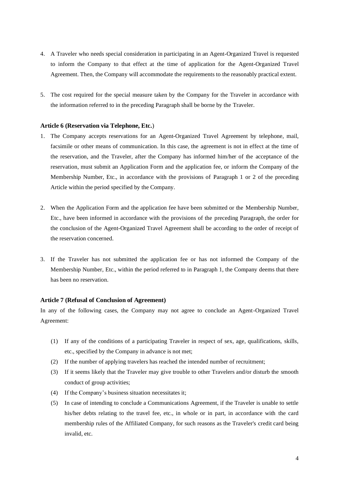- 4. A Traveler who needs special consideration in participating in an Agent-Organized Travel is requested to inform the Company to that effect at the time of application for the Agent-Organized Travel Agreement. Then, the Company will accommodate the requirements to the reasonably practical extent.
- 5. The cost required for the special measure taken by the Company for the Traveler in accordance with the information referred to in the preceding Paragraph shall be borne by the Traveler.

#### **Article 6 (Reservation via Telephone, Etc.**)

- 1. The Company accepts reservations for an Agent-Organized Travel Agreement by telephone, mail, facsimile or other means of communication. In this case, the agreement is not in effect at the time of the reservation, and the Traveler, after the Company has informed him/her of the acceptance of the reservation, must submit an Application Form and the application fee, or inform the Company of the Membership Number, Etc., in accordance with the provisions of Paragraph 1 or 2 of the preceding Article within the period specified by the Company.
- 2. When the Application Form and the application fee have been submitted or the Membership Number, Etc., have been informed in accordance with the provisions of the preceding Paragraph, the order for the conclusion of the Agent-Organized Travel Agreement shall be according to the order of receipt of the reservation concerned.
- 3. If the Traveler has not submitted the application fee or has not informed the Company of the Membership Number, Etc., within the period referred to in Paragraph 1, the Company deems that there has been no reservation.

#### **Article 7 (Refusal of Conclusion of Agreement)**

In any of the following cases, the Company may not agree to conclude an Agent-Organized Travel Agreement:

- (1) If any of the conditions of a participating Traveler in respect of sex, age, qualifications, skills, etc., specified by the Company in advance is not met;
- (2) If the number of applying travelers has reached the intended number of recruitment;
- (3) If it seems likely that the Traveler may give trouble to other Travelers and/or disturb the smooth conduct of group activities;
- (4) If the Company's business situation necessitates it;
- (5) In case of intending to conclude a Communications Agreement, if the Traveler is unable to settle his/her debts relating to the travel fee, etc., in whole or in part, in accordance with the card membership rules of the Affiliated Company, for such reasons as the Traveler's credit card being invalid, etc.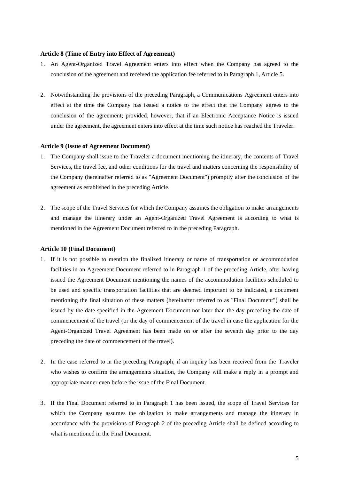#### **Article 8 (Time of Entry into Effect of Agreement)**

- 1. An Agent-Organized Travel Agreement enters into effect when the Company has agreed to the conclusion of the agreement and received the application fee referred to in Paragraph 1, Article 5.
- 2. Notwithstanding the provisions of the preceding Paragraph, a Communications Agreement enters into effect at the time the Company has issued a notice to the effect that the Company agrees to the conclusion of the agreement; provided, however, that if an Electronic Acceptance Notice is issued under the agreement, the agreement enters into effect at the time such notice has reached the Traveler.

#### **Article 9 (Issue of Agreement Document)**

- 1. The Company shall issue to the Traveler a document mentioning the itinerary, the contents of Travel Services, the travel fee, and other conditions for the travel and matters concerning the responsibility of the Company (hereinafter referred to as "Agreement Document") promptly after the conclusion of the agreement as established in the preceding Article.
- 2. The scope of the Travel Services for which the Company assumes the obligation to make arrangements and manage the itinerary under an Agent-Organized Travel Agreement is according to what is mentioned in the Agreement Document referred to in the preceding Paragraph.

#### **Article 10 (Final Document)**

- 1. If it is not possible to mention the finalized itinerary or name of transportation or accommodation facilities in an Agreement Document referred to in Paragraph 1 of the preceding Article, after having issued the Agreement Document mentioning the names of the accommodation facilities scheduled to be used and specific transportation facilities that are deemed important to be indicated, a document mentioning the final situation of these matters (hereinafter referred to as "Final Document") shall be issued by the date specified in the Agreement Document not later than the day preceding the date of commencement of the travel (or the day of commencement of the travel in case the application for the Agent-Organized Travel Agreement has been made on or after the seventh day prior to the day preceding the date of commencement of the travel).
- 2. In the case referred to in the preceding Paragraph, if an inquiry has been received from the Traveler who wishes to confirm the arrangements situation, the Company will make a reply in a prompt and appropriate manner even before the issue of the Final Document.
- 3. If the Final Document referred to in Paragraph 1 has been issued, the scope of Travel Services for which the Company assumes the obligation to make arrangements and manage the itinerary in accordance with the provisions of Paragraph 2 of the preceding Article shall be defined according to what is mentioned in the Final Document.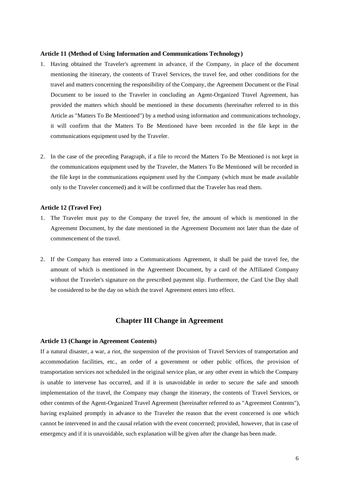#### **Article 11 (Method of Using Information and Communications Technology)**

- 1. Having obtained the Traveler's agreement in advance, if the Company, in place of the document mentioning the itinerary, the contents of Travel Services, the travel fee, and other conditions for the travel and matters concerning the responsibility of the Company, the Agreement Document or the Final Document to be issued to the Traveler in concluding an Agent-Organized Travel Agreement, has provided the matters which should be mentioned in these documents (hereinafter referred to in this Article as "Matters To Be Mentioned") by a method using information and communications technology, it will confirm that the Matters To Be Mentioned have been recorded in the file kept in the communications equipment used by the Traveler.
- 2. In the case of the preceding Paragraph, if a file to record the Matters To Be Mentioned is not kept in the communications equipment used by the Traveler, the Matters To Be Mentioned will be recorded in the file kept in the communications equipment used by the Company (which must be made available only to the Traveler concerned) and it will be confirmed that the Traveler has read them.

#### **Article 12 (Travel Fee)**

- 1. The Traveler must pay to the Company the travel fee, the amount of which is mentioned in the Agreement Document, by the date mentioned in the Agreement Document not later than the date of commencement of the travel.
- 2. If the Company has entered into a Communications Agreement, it shall be paid the travel fee, the amount of which is mentioned in the Agreement Document, by a card of the Affiliated Company without the Traveler's signature on the prescribed payment slip. Furthermore, the Card Use Day shall be considered to be the day on which the travel Agreement enters into effect.

### **Chapter III Change in Agreement**

#### **Article 13 (Change in Agreement Contents)**

If a natural disaster, a war, a riot, the suspension of the provision of Travel Services of transportation and accommodation facilities, etc., an order of a government or other public offices, the provision of transportation services not scheduled in the original service plan, or any other event in which the Company is unable to intervene has occurred, and if it is unavoidable in order to secure the safe and smooth implementation of the travel, the Company may change the itinerary, the contents of Travel Services, or other contents of the Agent-Organized Travel Agreement (hereinafter referred to as "Agreement Contents"), having explained promptly in advance to the Traveler the reason that the event concerned is one which cannot be intervened in and the causal relation with the event concerned; provided, however, that in case of emergency and if it is unavoidable, such explanation will be given after the change has been made.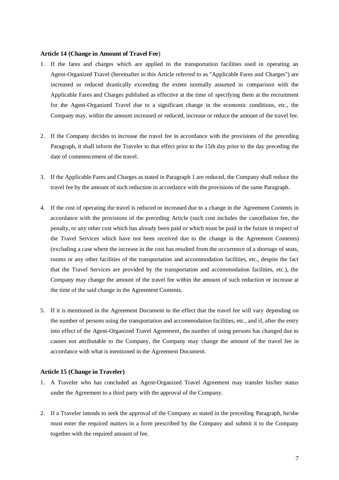#### **Article 14 (Change in Amount of Travel Fee**)

- 1. If the fares and charges which are applied to the transportation facilities used in operating an Agent-Organized Travel (hereinafter in this Article referred to as "Applicable Fares and Charges") are increased or reduced drastically exceeding the extent normally assumed in comparison with the Applicable Fares and Charges published as effective at the time of specifying them at the recruitment for the Agent-Organized Travel due to a significant change in the economic conditions, etc., the Company may, within the amount increased or reduced, increase or reduce the amount of the travel fee.
- 2. If the Company decides to increase the travel fee in accordance with the provisions of the preceding Paragraph, it shall inform the Traveler to that effect prior to the 15th day prior to the day preceding the date of commencement of the travel.
- 3. If the Applicable Fares and Charges as stated in Paragraph 1 are reduced, the Company shall reduce the travel fee by the amount of such reduction in accordance with the provisions of the same Paragraph.
- 4. If the cost of operating the travel is reduced or increased due to a change in the Agreement Contents in accordance with the provisions of the preceding Article (such cost includes the cancellation fee, the penalty, or any other cost which has already been paid or which must be paid in the future in respect of the Travel Services which have not been received due to the change in the Agreement Contents) (excluding a case where the increase in the cost has resulted from the occurrence of a shortage of seats, rooms or any other facilities of the transportation and accommodation facilities, etc., despite the fact that the Travel Services are provided by the transportation and accommodation facilities, etc.), the Company may change the amount of the travel fee within the amount of such reduction or increase at the time of the said change in the Agreement Contents.
- 5. If it is mentioned in the Agreement Document to the effect that the travel fee will vary depending on the number of persons using the transportation and accommodation facilities, etc., and if, after the entry into effect of the Agent-Organized Travel Agreement, the number of using persons has changed due to causes not attributable to the Company, the Company may change the amount of the travel fee in accordance with what is mentioned in the Agreement Document.

### **Article 15 (Change in Traveler)**

- 1. A Traveler who has concluded an Agent-Organized Travel Agreement may transfer his/her status under the Agreement to a third party with the approval of the Company.
- 2. If a Traveler intends to seek the approval of the Company as stated in the preceding Paragraph, he/she must enter the required matters in a form prescribed by the Company and submit it to the Company together with the required amount of fee.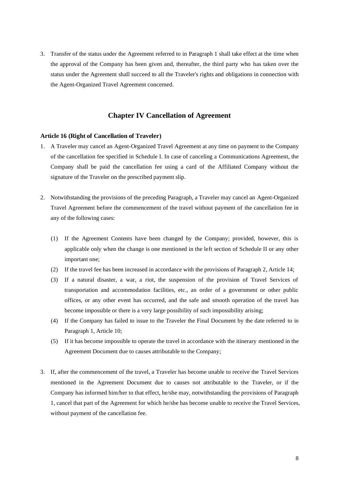3. Transfer of the status under the Agreement referred to in Paragraph 1 shall take effect at the time when the approval of the Company has been given and, thereafter, the third party who has taken over the status under the Agreement shall succeed to all the Traveler's rights and obligations in connection with the Agent-Organized Travel Agreement concerned.

## **Chapter IV Cancellation of Agreement**

#### **Article 16 (Right of Cancellation of Traveler)**

- 1. A Traveler may cancel an Agent-Organized Travel Agreement at any time on payment to the Company of the cancellation fee specified in Schedule I. In case of canceling a Communications Agreement, the Company shall be paid the cancellation fee using a card of the Affiliated Company without the signature of the Traveler on the prescribed payment slip.
- 2. Notwithstanding the provisions of the preceding Paragraph, a Traveler may cancel an Agent-Organized Travel Agreement before the commencement of the travel without payment of the cancellation fee in any of the following cases:
	- (1) If the Agreement Contents have been changed by the Company; provided, however, this is applicable only when the change is one mentioned in the left section of Schedule II or any other important one;
	- (2) If the travel fee has been increased in accordance with the provisions of Paragraph 2, Article 14;
	- (3) If a natural disaster, a war, a riot, the suspension of the provision of Travel Services of transportation and accommodation facilities, etc., an order of a government or other public offices, or any other event has occurred, and the safe and smooth operation of the travel has become impossible or there is a very large possibility of such impossibility arising;
	- (4) If the Company has failed to issue to the Traveler the Final Document by the date referred to in Paragraph 1, Article 10;
	- (5) If it has become impossible to operate the travel in accordance with the itinerary mentioned in the Agreement Document due to causes attributable to the Company;
- 3. If, after the commencement of the travel, a Traveler has become unable to receive the Travel Services mentioned in the Agreement Document due to causes not attributable to the Traveler, or if the Company has informed him/her to that effect, he/she may, notwithstanding the provisions of Paragraph 1, cancel that part of the Agreement for which he/she has become unable to receive the Travel Services, without payment of the cancellation fee.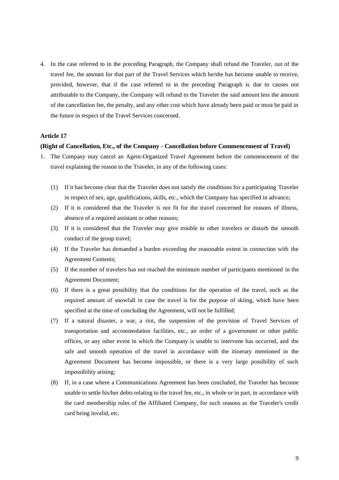4. In the case referred to in the preceding Paragraph, the Company shall refund the Traveler, out of the travel fee, the amount for that part of the Travel Services which he/she has become unable to receive, provided, however, that if the case referred to in the preceding Paragraph is due to causes not attributable to the Company, the Company will refund to the Traveler the said amount less the amount of the cancellation fee, the penalty, and any other cost which have already been paid or must be paid in the future in respect of the Travel Services concerned.

### **Article 17**

#### **(Right of Cancellation, Etc., of the Company - Cancellation before Commencement of Travel)**

- 1. The Company may cancel an Agent-Organized Travel Agreement before the commencement of the travel explaining the reason to the Traveler, in any of the following cases:
	- (1) If it has become clear that the Traveler does not satisfy the conditions for a participating Traveler in respect of sex, age, qualifications, skills, etc., which the Company has specified in advance;
	- (2) If it is considered that the Traveler is not fit for the travel concerned for reasons of illness, absence of a required assistant or other reasons;
	- (3) If it is considered that the Traveler may give trouble to other travelers or disturb the smooth conduct of the group travel;
	- (4) If the Traveler has demanded a burden exceeding the reasonable extent in connection with the Agreement Contents;
	- (5) If the number of travelers has not reached the minimum number of participants mentioned in the Agreement Document;
	- (6) If there is a great possibility that the conditions for the operation of the travel, such as the required amount of snowfall in case the travel is for the purpose of skiing, which have been specified at the time of concluding the Agreement, will not be fulfilled;
	- (7) If a natural disaster, a war, a riot, the suspension of the provision of Travel Services of transportation and accommodation facilities, etc., an order of a government or other public offices, or any other event in which the Company is unable to intervene has occurred, and the safe and smooth operation of the travel in accordance with the itinerary mentioned in the Agreement Document has become impossible, or there is a very large possibility of such impossibility arising;
	- (8) If, in a case where a Communications Agreement has been concluded, the Traveler has become unable to settle his/her debts relating to the travel fee, etc., in whole or in part, in accordance with the card membership rules of the Affiliated Company, for such reasons as the Traveler's credit card being invalid, etc.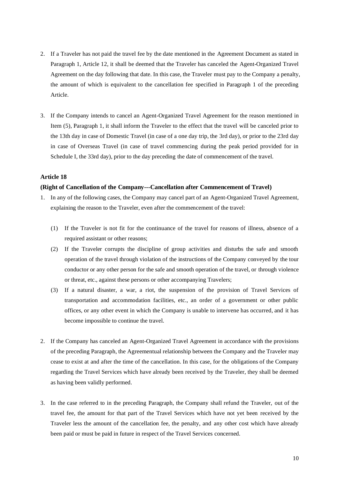- 2. If a Traveler has not paid the travel fee by the date mentioned in the Agreement Document as stated in Paragraph 1, Article 12, it shall be deemed that the Traveler has canceled the Agent-Organized Travel Agreement on the day following that date. In this case, the Traveler must pay to the Company a penalty, the amount of which is equivalent to the cancellation fee specified in Paragraph 1 of the preceding Article.
- 3. If the Company intends to cancel an Agent-Organized Travel Agreement for the reason mentioned in Item (5), Paragraph 1, it shall inform the Traveler to the effect that the travel will be canceled prior to the 13th day in case of Domestic Travel (in case of a one day trip, the 3rd day), or prior to the 23rd day in case of Overseas Travel (in case of travel commencing during the peak period provided for in Schedule I, the 33rd day), prior to the day preceding the date of commencement of the travel.

### **Article 18**

#### **(Right of Cancellation of the Company---Cancellation after Commencement of Travel)**

- 1. In any of the following cases, the Company may cancel part of an Agent-Organized Travel Agreement, explaining the reason to the Traveler, even after the commencement of the travel:
	- (1) If the Traveler is not fit for the continuance of the travel for reasons of illness, absence of a required assistant or other reasons;
	- (2) If the Traveler corrupts the discipline of group activities and disturbs the safe and smooth operation of the travel through violation of the instructions of the Company conveyed by the tour conductor or any other person for the safe and smooth operation of the travel, or through violence or threat, etc., against these persons or other accompanying Travelers;
	- (3) If a natural disaster, a war, a riot, the suspension of the provision of Travel Services of transportation and accommodation facilities, etc., an order of a government or other public offices, or any other event in which the Company is unable to intervene has occurred, and it has become impossible to continue the travel.
- 2. If the Company has canceled an Agent-Organized Travel Agreement in accordance with the provisions of the preceding Paragraph, the Agreementual relationship between the Company and the Traveler may cease to exist at and after the time of the cancellation. In this case, for the obligations of the Company regarding the Travel Services which have already been received by the Traveler, they shall be deemed as having been validly performed.
- 3. In the case referred to in the preceding Paragraph, the Company shall refund the Traveler, out of the travel fee, the amount for that part of the Travel Services which have not yet been received by the Traveler less the amount of the cancellation fee, the penalty, and any other cost which have already been paid or must be paid in future in respect of the Travel Services concerned.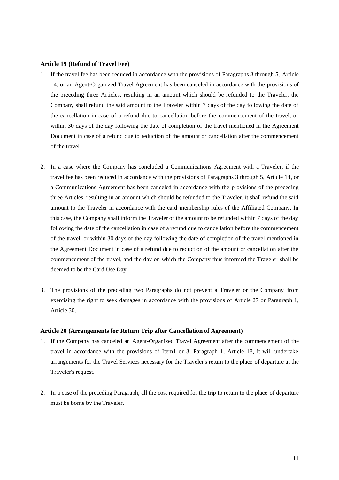#### **Article 19 (Refund of Travel Fee)**

- 1. If the travel fee has been reduced in accordance with the provisions of Paragraphs 3 through 5, Article 14, or an Agent-Organized Travel Agreement has been canceled in accordance with the provisions of the preceding three Articles, resulting in an amount which should be refunded to the Traveler, the Company shall refund the said amount to the Traveler within 7 days of the day following the date of the cancellation in case of a refund due to cancellation before the commencement of the travel, or within 30 days of the day following the date of completion of the travel mentioned in the Agreement Document in case of a refund due to reduction of the amount or cancellation after the commencement of the travel.
- 2. In a case where the Company has concluded a Communications Agreement with a Traveler, if the travel fee has been reduced in accordance with the provisions of Paragraphs 3 through 5, Article 14, or a Communications Agreement has been canceled in accordance with the provisions of the preceding three Articles, resulting in an amount which should be refunded to the Traveler, it shall refund the said amount to the Traveler in accordance with the card membership rules of the Affiliated Company. In this case, the Company shall inform the Traveler of the amount to be refunded within 7 days of the day following the date of the cancellation in case of a refund due to cancellation before the commencement of the travel, or within 30 days of the day following the date of completion of the travel mentioned in the Agreement Document in case of a refund due to reduction of the amount or cancellation after the commencement of the travel, and the day on which the Company thus informed the Traveler shall be deemed to be the Card Use Day.
- 3. The provisions of the preceding two Paragraphs do not prevent a Traveler or the Company from exercising the right to seek damages in accordance with the provisions of Article 27 or Paragraph 1, Article 30.

#### **Article 20 (Arrangements for Return Trip after Cancellation of Agreement)**

- 1. If the Company has canceled an Agent-Organized Travel Agreement after the commencement of the travel in accordance with the provisions of Item1 or 3, Paragraph 1, Article 18, it will undertake arrangements for the Travel Services necessary for the Traveler's return to the place of departure at the Traveler's request.
- 2. In a case of the preceding Paragraph, all the cost required for the trip to return to the place of departure must be borne by the Traveler.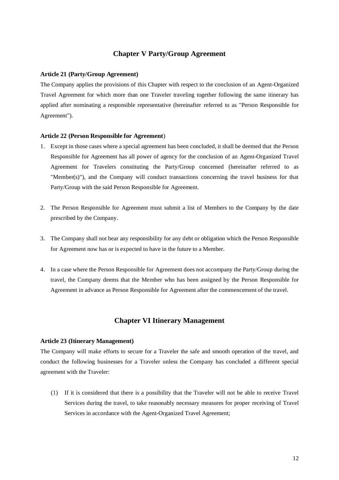## **Chapter V Party/Group Agreement**

#### **Article 21 (Party/Group Agreement)**

The Company applies the provisions of this Chapter with respect to the conclusion of an Agent-Organized Travel Agreement for which more than one Traveler traveling together following the same itinerary has applied after nominating a responsible representative (hereinafter referred to as "Person Responsible for Agreement").

#### **Article 22 (Person Responsible for Agreement**)

- 1. Except in those cases where a special agreement has been concluded, it shall be deemed that the Person Responsible for Agreement has all power of agency for the conclusion of an Agent-Organized Travel Agreement for Travelers constituting the Party/Group concerned (hereinafter referred to as "Member(s)"), and the Company will conduct transactions concerning the travel business for that Party/Group with the said Person Responsible for Agreement.
- 2. The Person Responsible for Agreement must submit a list of Members to the Company by the date prescribed by the Company.
- 3. The Company shall not bear any responsibility for any debt or obligation which the Person Responsible for Agreement now has or is expected to have in the future to a Member.
- 4. In a case where the Person Responsible for Agreement does not accompany the Party/Group during the travel, the Company deems that the Member who has been assigned by the Person Responsible for Agreement in advance as Person Responsible for Agreement after the commencement of the travel.

## **Chapter VI Itinerary Management**

#### **Article 23 (Itinerary Management)**

The Company will make efforts to secure for a Traveler the safe and smooth operation of the travel, and conduct the following businesses for a Traveler unless the Company has concluded a different special agreement with the Traveler:

(1) If it is considered that there is a possibility that the Traveler will not be able to receive Travel Services during the travel, to take reasonably necessary measures for proper receiving of Travel Services in accordance with the Agent-Organized Travel Agreement;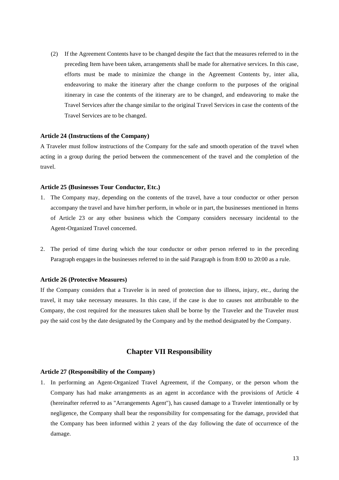(2) If the Agreement Contents have to be changed despite the fact that the measures referred to in the preceding Item have been taken, arrangements shall be made for alternative services. In this case, efforts must be made to minimize the change in the Agreement Contents by, inter alia, endeavoring to make the itinerary after the change conform to the purposes of the original itinerary in case the contents of the itinerary are to be changed, and endeavoring to make the Travel Services after the change similar to the original Travel Services in case the contents of the Travel Services are to be changed.

#### **Article 24 (Instructions of the Company)**

A Traveler must follow instructions of the Company for the safe and smooth operation of the travel when acting in a group during the period between the commencement of the travel and the completion of the travel.

#### **Article 25 (Businesses Tour Conductor, Etc.)**

- 1. The Company may, depending on the contents of the travel, have a tour conductor or other person accompany the travel and have him/her perform, in whole or in part, the businesses mentioned in Items of Article 23 or any other business which the Company considers necessary incidental to the Agent-Organized Travel concerned.
- 2. The period of time during which the tour conductor or other person referred to in the preceding Paragraph engages in the businesses referred to in the said Paragraph is from 8:00 to 20:00 as a rule.

#### **Article 26 (Protective Measures)**

If the Company considers that a Traveler is in need of protection due to illness, injury, etc., during the travel, it may take necessary measures. In this case, if the case is due to causes not attributable to the Company, the cost required for the measures taken shall be borne by the Traveler and the Traveler must pay the said cost by the date designated by the Company and by the method designated by the Company.

#### **Chapter VII Responsibility**

## **Article 27 (Responsibility of the Company)**

1. In performing an Agent-Organized Travel Agreement, if the Company, or the person whom the Company has had make arrangements as an agent in accordance with the provisions of Article 4 (hereinafter referred to as "Arrangements Agent"), has caused damage to a Traveler intentionally or by negligence, the Company shall bear the responsibility for compensating for the damage, provided that the Company has been informed within 2 years of the day following the date of occurrence of the damage.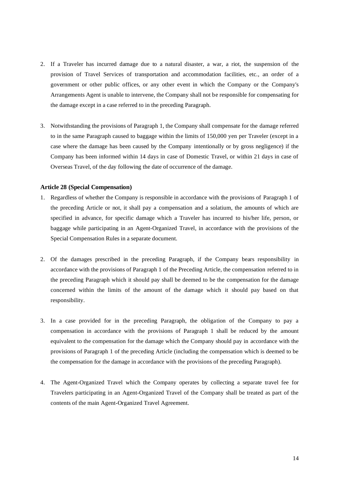- 2. If a Traveler has incurred damage due to a natural disaster, a war, a riot, the suspension of the provision of Travel Services of transportation and accommodation facilities, etc., an order of a government or other public offices, or any other event in which the Company or the Company's Arrangements Agent is unable to intervene, the Company shall not be responsible for compensating for the damage except in a case referred to in the preceding Paragraph.
- 3. Notwithstanding the provisions of Paragraph 1, the Company shall compensate for the damage referred to in the same Paragraph caused to baggage within the limits of 150,000 yen per Traveler (except in a case where the damage has been caused by the Company intentionally or by gross negligence) if the Company has been informed within 14 days in case of Domestic Travel, or within 21 days in case of Overseas Travel, of the day following the date of occurrence of the damage.

#### **Article 28 (Special Compensation)**

- 1. Regardless of whether the Company is responsible in accordance with the provisions of Paragraph 1 of the preceding Article or not, it shall pay a compensation and a solatium, the amounts of which are specified in advance, for specific damage which a Traveler has incurred to his/her life, person, or baggage while participating in an Agent-Organized Travel, in accordance with the provisions of the Special Compensation Rules in a separate document.
- 2. Of the damages prescribed in the preceding Paragraph, if the Company bears responsibility in accordance with the provisions of Paragraph 1 of the Preceding Article, the compensation referred to in the preceding Paragraph which it should pay shall be deemed to be the compensation for the damage concerned within the limits of the amount of the damage which it should pay based on that responsibility.
- 3. In a case provided for in the preceding Paragraph, the obligation of the Company to pay a compensation in accordance with the provisions of Paragraph 1 shall be reduced by the amount equivalent to the compensation for the damage which the Company should pay in accordance with the provisions of Paragraph 1 of the preceding Article (including the compensation which is deemed to be the compensation for the damage in accordance with the provisions of the preceding Paragraph).
- 4. The Agent-Organized Travel which the Company operates by collecting a separate travel fee for Travelers participating in an Agent-Organized Travel of the Company shall be treated as part of the contents of the main Agent-Organized Travel Agreement.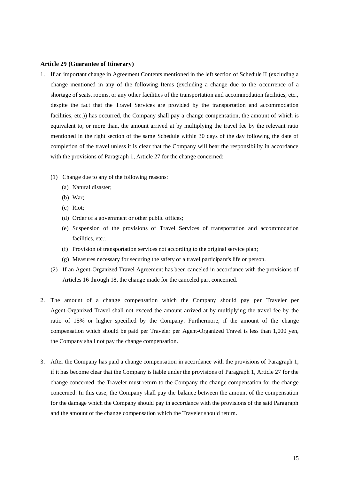#### **Article 29 (Guarantee of Itinerary)**

- 1. If an important change in Agreement Contents mentioned in the left section of Schedule II (excluding a change mentioned in any of the following Items (excluding a change due to the occurrence of a shortage of seats, rooms, or any other facilities of the transportation and accommodation facilities, etc., despite the fact that the Travel Services are provided by the transportation and accommodation facilities, etc.)) has occurred, the Company shall pay a change compensation, the amount of which is equivalent to, or more than, the amount arrived at by multiplying the travel fee by the relevant ratio mentioned in the right section of the same Schedule within 30 days of the day following the date of completion of the travel unless it is clear that the Company will bear the responsibility in accordance with the provisions of Paragraph 1, Article 27 for the change concerned:
	- (1) Change due to any of the following reasons:
		- (a) Natural disaster;
		- (b) War;
		- (c) Riot;
		- (d) Order of a government or other public offices;
		- (e) Suspension of the provisions of Travel Services of transportation and accommodation facilities, etc.;
		- (f) Provision of transportation services not according to the original service plan;
		- (g) Measures necessary for securing the safety of a travel participant's life or person.
	- (2) If an Agent-Organized Travel Agreement has been canceled in accordance with the provisions of Articles 16 through 18, the change made for the canceled part concerned.
- 2. The amount of a change compensation which the Company should pay per Traveler per Agent-Organized Travel shall not exceed the amount arrived at by multiplying the travel fee by the ratio of 15% or higher specified by the Company. Furthermore, if the amount of the change compensation which should be paid per Traveler per Agent-Organized Travel is less than 1,000 yen, the Company shall not pay the change compensation.
- 3. After the Company has paid a change compensation in accordance with the provisions of Paragraph 1, if it has become clear that the Company is liable under the provisions of Paragraph 1, Article 27 for the change concerned, the Traveler must return to the Company the change compensation for the change concerned. In this case, the Company shall pay the balance between the amount of the compensation for the damage which the Company should pay in accordance with the provisions of the said Paragraph and the amount of the change compensation which the Traveler should return.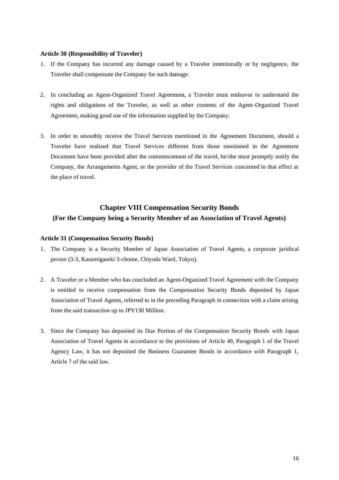#### **Article 30 (Responsibility of Traveler)**

- 1. If the Company has incurred any damage caused by a Traveler intentionally or by negligence, the Traveler shall compensate the Company for such damage.
- 2. In concluding an Agent-Organized Travel Agreement, a Traveler must endeavor to understand the rights and obligations of the Traveler, as well as other contents of the Agent-Organized Travel Agreement, making good use of the information supplied by the Company.
- 3. In order to smoothly receive the Travel Services mentioned in the Agreement Document, should a Traveler have realized that Travel Services different from those mentioned in the Agreement Document have been provided after the commencement of the travel, he/she must promptly notify the Company, the Arrangements Agent, or the provider of the Travel Services concerned to that effect at the place of travel.

## **Chapter VIII Compensation Security Bonds (For the Company being a Security Member of an Association of Travel Agents)**

#### **Article 31 (Compensation Security Bonds)**

- 1. The Company is a Security Member of Japan Association of Travel Agents, a corporate juridical person (3-3, Kasumigaseki 3-chome, Chiyoda Ward, Tokyo).
- 2. A Traveler or a Member who has concluded an Agent-Organized Travel Agreement with the Company is entitled to receive compensation from the Compensation Security Bonds deposited by Japan Association of Travel Agents, referred to in the preceding Paragraph in connection with a claim arising from the said transaction up to JPY130 Million.
- 3. Since the Company has deposited its Due Portion of the Compensation Security Bonds with Japan Association of Travel Agents in accordance to the provisions of Article 49, Paragraph 1 of the Travel Agency Law, it has not deposited the Business Guarantee Bonds in accordance with Paragraph 1, Article 7 of the said law.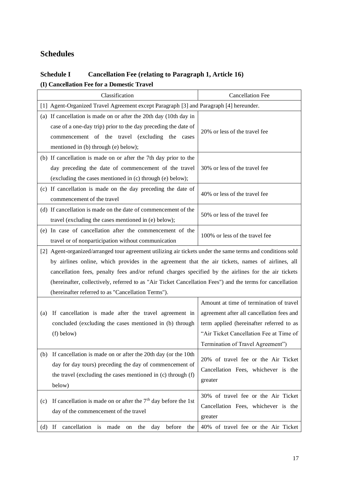# **Schedules**

## **Schedule I Cancellation Fee (relating to Paragraph 1, Article 16) (I) Cancellation Fee for a Domestic Travel**

|                                                                                                                                                                                                                                                                                                                                                                                                                                                                                          | Classification                                                                                                                                                                                                                 | <b>Cancellation Fee</b>                                                                                                                                                                                          |  |  |  |  |  |
|------------------------------------------------------------------------------------------------------------------------------------------------------------------------------------------------------------------------------------------------------------------------------------------------------------------------------------------------------------------------------------------------------------------------------------------------------------------------------------------|--------------------------------------------------------------------------------------------------------------------------------------------------------------------------------------------------------------------------------|------------------------------------------------------------------------------------------------------------------------------------------------------------------------------------------------------------------|--|--|--|--|--|
|                                                                                                                                                                                                                                                                                                                                                                                                                                                                                          | [1] Agent-Organized Travel Agreement except Paragraph [3] and Paragraph [4] hereunder.                                                                                                                                         |                                                                                                                                                                                                                  |  |  |  |  |  |
|                                                                                                                                                                                                                                                                                                                                                                                                                                                                                          | (a) If cancellation is made on or after the 20th day (10th day in<br>case of a one-day trip) prior to the day preceding the date of<br>commencement of the travel (excluding the cases<br>mentioned in (b) through (e) below); | 20% or less of the travel fee                                                                                                                                                                                    |  |  |  |  |  |
|                                                                                                                                                                                                                                                                                                                                                                                                                                                                                          | (b) If cancellation is made on or after the 7th day prior to the<br>day preceding the date of commencement of the travel<br>(excluding the cases mentioned in (c) through (e) below);                                          | 30% or less of the travel fee                                                                                                                                                                                    |  |  |  |  |  |
|                                                                                                                                                                                                                                                                                                                                                                                                                                                                                          | (c) If cancellation is made on the day preceding the date of<br>commencement of the travel                                                                                                                                     | 40% or less of the travel fee                                                                                                                                                                                    |  |  |  |  |  |
|                                                                                                                                                                                                                                                                                                                                                                                                                                                                                          | (d) If cancellation is made on the date of commencement of the<br>travel (excluding the cases mentioned in (e) below);                                                                                                         | 50% or less of the travel fee                                                                                                                                                                                    |  |  |  |  |  |
|                                                                                                                                                                                                                                                                                                                                                                                                                                                                                          | (e) In case of cancellation after the commencement of the<br>travel or of nonparticipation without communication                                                                                                               | 100% or less of the travel fee                                                                                                                                                                                   |  |  |  |  |  |
| [2] Agent-organized/arranged tour agreement utilizing air tickets under the same terms and conditions sold<br>by airlines online, which provides in the agreement that the air tickets, names of airlines, all<br>cancellation fees, penalty fees and/or refund charges specified by the airlines for the air tickets<br>(hereinafter, collectively, referred to as "Air Ticket Cancellation Fees") and the terms for cancellation<br>(hereinafter referred to as "Cancellation Terms"). |                                                                                                                                                                                                                                |                                                                                                                                                                                                                  |  |  |  |  |  |
|                                                                                                                                                                                                                                                                                                                                                                                                                                                                                          | If cancellation is made after the travel agreement in<br>(a)<br>concluded (excluding the cases mentioned in (b) through<br>(f) below)                                                                                          | Amount at time of termination of travel<br>agreement after all cancellation fees and<br>term applied (hereinafter referred to as<br>"Air Ticket Cancellation Fee at Time of<br>Termination of Travel Agreement") |  |  |  |  |  |
|                                                                                                                                                                                                                                                                                                                                                                                                                                                                                          | If cancellation is made on or after the 20th day (or the 10th<br>(b)<br>day for day tours) preceding the day of commencement of<br>the travel (excluding the cases mentioned in (c) through (f)<br>below)                      | 20% of travel fee or the Air Ticket<br>Cancellation Fees, whichever is the<br>greater                                                                                                                            |  |  |  |  |  |
|                                                                                                                                                                                                                                                                                                                                                                                                                                                                                          | If cancellation is made on or after the $7th$ day before the 1st<br>(c)<br>day of the commencement of the travel                                                                                                               | 30% of travel fee or the Air Ticket<br>Cancellation Fees, whichever is the<br>greater                                                                                                                            |  |  |  |  |  |
|                                                                                                                                                                                                                                                                                                                                                                                                                                                                                          | before<br>cancellation<br>If<br>made<br>the<br>the<br>is<br>day<br>(d)<br>on                                                                                                                                                   | 40% of travel fee or the Air Ticket                                                                                                                                                                              |  |  |  |  |  |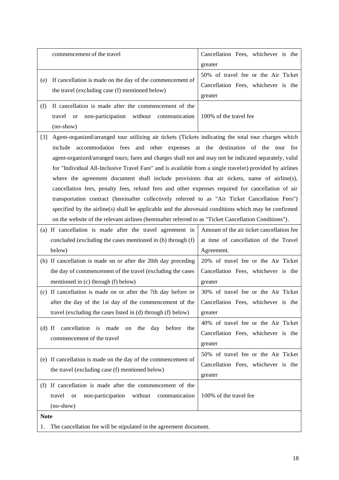|                                                                                                                                                                                                                                                                                                                                                                                                                                                                                                                                                                                                                                                                                                                                                                                                                                                                                                                                                 | commencement of the travel                                                                                                                                                               | Cancellation Fees, whichever is the<br>greater                                                   |  |  |  |  |
|-------------------------------------------------------------------------------------------------------------------------------------------------------------------------------------------------------------------------------------------------------------------------------------------------------------------------------------------------------------------------------------------------------------------------------------------------------------------------------------------------------------------------------------------------------------------------------------------------------------------------------------------------------------------------------------------------------------------------------------------------------------------------------------------------------------------------------------------------------------------------------------------------------------------------------------------------|------------------------------------------------------------------------------------------------------------------------------------------------------------------------------------------|--------------------------------------------------------------------------------------------------|--|--|--|--|
| (e)                                                                                                                                                                                                                                                                                                                                                                                                                                                                                                                                                                                                                                                                                                                                                                                                                                                                                                                                             | If cancellation is made on the day of the commencement of<br>the travel (excluding case (f) mentioned below)                                                                             | 50% of travel fee or the Air Ticket<br>Cancellation Fees, whichever is the<br>greater            |  |  |  |  |
| (f)                                                                                                                                                                                                                                                                                                                                                                                                                                                                                                                                                                                                                                                                                                                                                                                                                                                                                                                                             | If cancellation is made after the commencement of the<br>non-participation without<br>travel<br>communication<br><b>or</b><br>(no-show)                                                  | 100% of the travel fee                                                                           |  |  |  |  |
| Agent-organized/arranged tour utilizing air tickets (Tickets indicating the total tour charges which<br>$[3]$<br>include accommodation fees and other expenses at the destination of the tour for<br>agent-organized/arranged tours; fares and charges shall not and may not be indicated separately, valid<br>for "Individual All-Inclusive Travel Fare" and is available from a single traveler) provided by airlines<br>where the agreement document shall include provisions that air tickets, name of airline(s),<br>cancellation fees, penalty fees, refund fees and other expenses required for cancellation of air<br>transportation contract (hereinafter collectively referred to as "Air Ticket Cancellation Fees")<br>specified by the airline(s) shall be applicable and the abovesaid conditions which may be confirmed<br>on the website of the relevant airlines (hereinafter referred to as "Ticket Cancellation Conditions"). |                                                                                                                                                                                          |                                                                                                  |  |  |  |  |
|                                                                                                                                                                                                                                                                                                                                                                                                                                                                                                                                                                                                                                                                                                                                                                                                                                                                                                                                                 | (a) If cancellation is made after the travel agreement in<br>concluded (excluding the cases mentioned in (b) through (f)<br>below)                                                       | Amount of the air ticket cancellation fee<br>at time of cancellation of the Travel<br>Agreement. |  |  |  |  |
|                                                                                                                                                                                                                                                                                                                                                                                                                                                                                                                                                                                                                                                                                                                                                                                                                                                                                                                                                 | (b) If cancellation is made on or after the 20th day preceding<br>the day of commencement of the travel (excluding the cases<br>mentioned in (c) through (f) below)                      | 20% of travel fee or the Air Ticket<br>Cancellation Fees, whichever is the<br>greater            |  |  |  |  |
|                                                                                                                                                                                                                                                                                                                                                                                                                                                                                                                                                                                                                                                                                                                                                                                                                                                                                                                                                 | (c) If cancellation is made on or after the 7th day before or<br>after the day of the 1st day of the commencement of the<br>travel (excluding the cases listed in (d) through (f) below) | 30% of travel fee or the Air Ticket<br>Cancellation Fees, whichever is the<br>greater            |  |  |  |  |
| $(d)$ If                                                                                                                                                                                                                                                                                                                                                                                                                                                                                                                                                                                                                                                                                                                                                                                                                                                                                                                                        | cancellation is<br>made<br>on the day<br>before<br>the<br>commencement of the travel                                                                                                     | 40% of travel fee or the Air Ticket<br>Cancellation Fees, whichever is the<br>greater            |  |  |  |  |
|                                                                                                                                                                                                                                                                                                                                                                                                                                                                                                                                                                                                                                                                                                                                                                                                                                                                                                                                                 | (e) If cancellation is made on the day of the commencement of<br>the travel (excluding case (f) mentioned below)                                                                         | 50% of travel fee or the Air Ticket<br>Cancellation Fees, whichever is the<br>greater            |  |  |  |  |
|                                                                                                                                                                                                                                                                                                                                                                                                                                                                                                                                                                                                                                                                                                                                                                                                                                                                                                                                                 | (f) If cancellation is made after the commencement of the<br>travel<br>non-participation<br>without<br>communication<br><b>or</b><br>$(no-show)$                                         | 100% of the travel fee                                                                           |  |  |  |  |
|                                                                                                                                                                                                                                                                                                                                                                                                                                                                                                                                                                                                                                                                                                                                                                                                                                                                                                                                                 | <b>Note</b>                                                                                                                                                                              |                                                                                                  |  |  |  |  |
| 1.                                                                                                                                                                                                                                                                                                                                                                                                                                                                                                                                                                                                                                                                                                                                                                                                                                                                                                                                              | The cancellation fee will be stipulated in the agreement document.                                                                                                                       |                                                                                                  |  |  |  |  |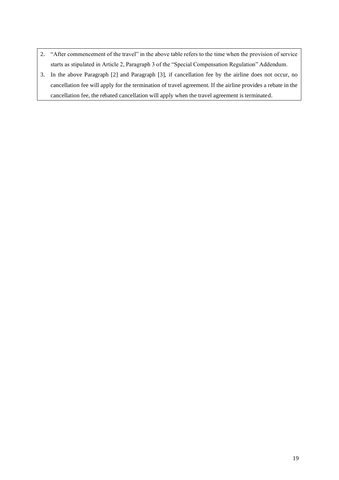- 2. "After commencement of the travel" in the above table refers to the time when the provision of service starts as stipulated in Article 2, Paragraph 3 of the "Special Compensation Regulation" Addendum.
- 3. In the above Paragraph [2] and Paragraph [3], if cancellation fee by the airline does not occur, no cancellation fee will apply for the termination of travel agreement. If the airline provides a rebate in the cancellation fee, the rebated cancellation will apply when the travel agreement is terminated.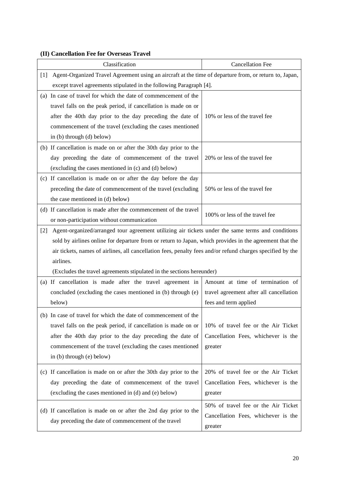## **(II) Cancellation Fee for Overseas Travel**

|                                                                                                                 | Classification                                                                                             | <b>Cancellation Fee</b>                 |  |  |  |
|-----------------------------------------------------------------------------------------------------------------|------------------------------------------------------------------------------------------------------------|-----------------------------------------|--|--|--|
| Agent-Organized Travel Agreement using an aircraft at the time of departure from, or return to, Japan,<br>$[1]$ |                                                                                                            |                                         |  |  |  |
|                                                                                                                 | except travel agreements stipulated in the following Paragraph [4].                                        |                                         |  |  |  |
|                                                                                                                 | (a) In case of travel for which the date of commencement of the                                            |                                         |  |  |  |
|                                                                                                                 | travel falls on the peak period, if cancellation is made on or                                             |                                         |  |  |  |
|                                                                                                                 | after the 40th day prior to the day preceding the date of                                                  | 10% or less of the travel fee           |  |  |  |
|                                                                                                                 | commencement of the travel (excluding the cases mentioned                                                  |                                         |  |  |  |
|                                                                                                                 | in (b) through (d) below)                                                                                  |                                         |  |  |  |
|                                                                                                                 | (b) If cancellation is made on or after the 30th day prior to the                                          |                                         |  |  |  |
|                                                                                                                 | day preceding the date of commencement of the travel                                                       | 20% or less of the travel fee           |  |  |  |
|                                                                                                                 | (excluding the cases mentioned in (c) and (d) below)                                                       |                                         |  |  |  |
|                                                                                                                 | (c) If cancellation is made on or after the day before the day                                             |                                         |  |  |  |
|                                                                                                                 | preceding the date of commencement of the travel (excluding                                                | 50% or less of the travel fee           |  |  |  |
|                                                                                                                 | the case mentioned in (d) below)                                                                           |                                         |  |  |  |
|                                                                                                                 | (d) If cancellation is made after the commencement of the travel                                           | 100% or less of the travel fee          |  |  |  |
|                                                                                                                 | or non-participation without communication                                                                 |                                         |  |  |  |
| $[2]$                                                                                                           | Agent-organized/arranged tour agreement utilizing air tickets under the same terms and conditions          |                                         |  |  |  |
|                                                                                                                 | sold by airlines online for departure from or return to Japan, which provides in the agreement that the    |                                         |  |  |  |
|                                                                                                                 | air tickets, names of airlines, all cancellation fees, penalty fees and/or refund charges specified by the |                                         |  |  |  |
|                                                                                                                 | airlines.                                                                                                  |                                         |  |  |  |
|                                                                                                                 | (Excludes the travel agreements stipulated in the sections hereunder)                                      |                                         |  |  |  |
|                                                                                                                 | (a) If cancellation is made after the travel agreement in                                                  | Amount at time of termination of        |  |  |  |
|                                                                                                                 | concluded (excluding the cases mentioned in (b) through (e)                                                | travel agreement after all cancellation |  |  |  |
|                                                                                                                 | below)                                                                                                     | fees and term applied                   |  |  |  |
|                                                                                                                 | (b) In case of travel for which the date of commencement of the                                            |                                         |  |  |  |
|                                                                                                                 | travel falls on the peak period, if cancellation is made on or                                             | 10% of travel fee or the Air Ticket     |  |  |  |
|                                                                                                                 | after the 40th day prior to the day preceding the date of                                                  | Cancellation Fees, whichever is the     |  |  |  |
|                                                                                                                 | commencement of the travel (excluding the cases mentioned                                                  | greater                                 |  |  |  |
|                                                                                                                 | in (b) through (e) below)                                                                                  |                                         |  |  |  |
|                                                                                                                 |                                                                                                            |                                         |  |  |  |
|                                                                                                                 | (c) If cancellation is made on or after the 30th day prior to the                                          | 20% of travel fee or the Air Ticket     |  |  |  |
|                                                                                                                 | day preceding the date of commencement of the travel                                                       | Cancellation Fees, whichever is the     |  |  |  |
|                                                                                                                 | (excluding the cases mentioned in (d) and (e) below)                                                       | greater                                 |  |  |  |
|                                                                                                                 | (d) If cancellation is made on or after the 2nd day prior to the                                           | 50% of travel fee or the Air Ticket     |  |  |  |
|                                                                                                                 | day preceding the date of commencement of the travel                                                       | Cancellation Fees, whichever is the     |  |  |  |
|                                                                                                                 |                                                                                                            | greater                                 |  |  |  |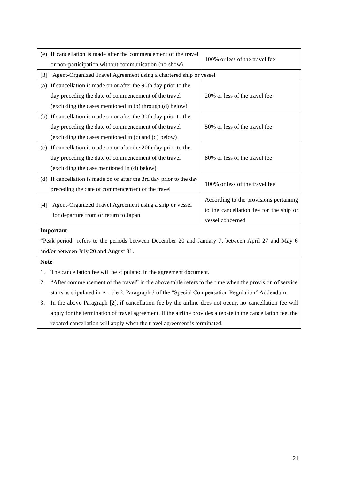| (e) If cancellation is made after the commencement of the travel     | 100% or less of the travel fee                                    |  |  |  |  |
|----------------------------------------------------------------------|-------------------------------------------------------------------|--|--|--|--|
| or non-participation without communication (no-show)                 |                                                                   |  |  |  |  |
| $[3]$                                                                | Agent-Organized Travel Agreement using a chartered ship or vessel |  |  |  |  |
| If cancellation is made on or after the 90th day prior to the<br>(a) |                                                                   |  |  |  |  |
| day preceding the date of commencement of the travel                 | 20% or less of the travel fee                                     |  |  |  |  |
| (excluding the cases mentioned in (b) through (d) below)             |                                                                   |  |  |  |  |
| (b) If cancellation is made on or after the 30th day prior to the    |                                                                   |  |  |  |  |
| day preceding the date of commencement of the travel                 | 50% or less of the travel fee                                     |  |  |  |  |
| (excluding the cases mentioned in (c) and (d) below)                 |                                                                   |  |  |  |  |
| (c) If cancellation is made on or after the 20th day prior to the    |                                                                   |  |  |  |  |
| day preceding the date of commencement of the travel                 | 80% or less of the travel fee                                     |  |  |  |  |
| (excluding the case mentioned in (d) below)                          |                                                                   |  |  |  |  |
| (d) If cancellation is made on or after the 3rd day prior to the day |                                                                   |  |  |  |  |
| preceding the date of commencement of the travel                     | 100% or less of the travel fee                                    |  |  |  |  |
|                                                                      | According to the provisions pertaining                            |  |  |  |  |
| Agent-Organized Travel Agreement using a ship or vessel<br>[4]       | to the cancellation fee for the ship or                           |  |  |  |  |
| for departure from or return to Japan                                | vessel concerned                                                  |  |  |  |  |
| Important                                                            |                                                                   |  |  |  |  |
|                                                                      |                                                                   |  |  |  |  |

"Peak period" refers to the periods between December 20 and January 7, between April 27 and May 6 and/or between July 20 and August 31.

**Note**

- 1. The cancellation fee will be stipulated in the agreement document.
- 2. "After commencement of the travel" in the above table refers to the time when the provision of service starts as stipulated in Article 2, Paragraph 3 of the "Special Compensation Regulation" Addendum.
- 3. In the above Paragraph [2], if cancellation fee by the airline does not occur, no cancellation fee will apply for the termination of travel agreement. If the airline provides a rebate in the cancellation fee, the rebated cancellation will apply when the travel agreement is terminated.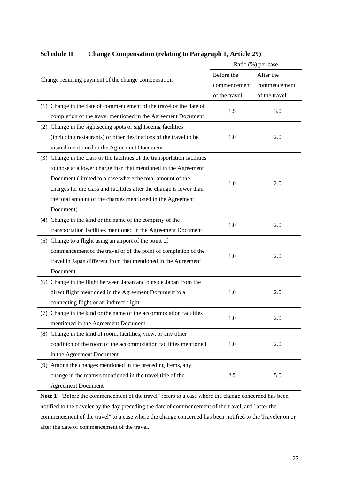| Change requiring payment of the change compensation                                                      | Ratio (%) per case |               |  |
|----------------------------------------------------------------------------------------------------------|--------------------|---------------|--|
|                                                                                                          | Before the         | After the     |  |
|                                                                                                          | commencement       | commencement  |  |
|                                                                                                          | of the travel      | of the travel |  |
| (1) Change in the date of commencement of the travel or the date of                                      |                    |               |  |
| completion of the travel mentioned in the Agreement Document                                             | 1.5                | 3.0           |  |
| (2) Change in the sightseeing spots or sightseeing facilities                                            |                    |               |  |
| (including restaurants) or other destinations of the travel to be                                        | 1.0                | 2.0           |  |
| visited mentioned in the Agreement Document                                                              |                    |               |  |
| (3) Change in the class or the facilities of the transportation facilities                               |                    |               |  |
| to those at a lower charge than that mentioned in the Agreement                                          |                    | 2.0           |  |
| Document (limited to a case where the total amount of the                                                |                    |               |  |
| charges for the class and facilities after the change is lower than                                      | 1.0                |               |  |
| the total amount of the charges mentioned in the Agreement                                               |                    |               |  |
| Document)                                                                                                |                    |               |  |
| (4) Change in the kind or the name of the company of the                                                 |                    | 2.0           |  |
| transportation facilities mentioned in the Agreement Document                                            | 1.0                |               |  |
| (5) Change to a flight using an airport of the point of                                                  |                    | 2.0           |  |
| commencement of the travel or of the point of completion of the                                          |                    |               |  |
| travel in Japan different from that mentioned in the Agreement                                           | 1.0                |               |  |
| Document                                                                                                 |                    |               |  |
| (6) Change in the flight between Japan and outside Japan from the                                        |                    |               |  |
| direct flight mentioned in the Agreement Document to a                                                   | 1.0                | 2.0           |  |
| connecting flight or an indirect flight                                                                  |                    |               |  |
| (7) Change in the kind or the name of the accommodation facilities                                       | 1.0                | 2.0           |  |
| mentioned in the Agreement Document                                                                      |                    |               |  |
| (8) Change in the kind of room, facilities, view, or any other                                           |                    |               |  |
| condition of the room of the accommodation facilities mentioned                                          | 1.0                | 2.0           |  |
| in the Agreement Document                                                                                |                    |               |  |
| (9) Among the changes mentioned in the preceding Items, any                                              |                    |               |  |
| change in the matters mentioned in the travel title of the                                               | 2.5                | 5.0           |  |
| <b>Agreement Document</b>                                                                                |                    |               |  |
| Note 1: "Before the commencement of the travel" refers to a case where the change concerned has been     |                    |               |  |
| notified to the traveler by the day preceding the date of commencement of the travel, and "after the     |                    |               |  |
| commencement of the travel" to a case where the change concerned has been notified to the Traveler on or |                    |               |  |
| after the date of commencement of the travel.                                                            |                    |               |  |

## **Schedule II Change Compensation (relating to Paragraph 1, Article 29)**